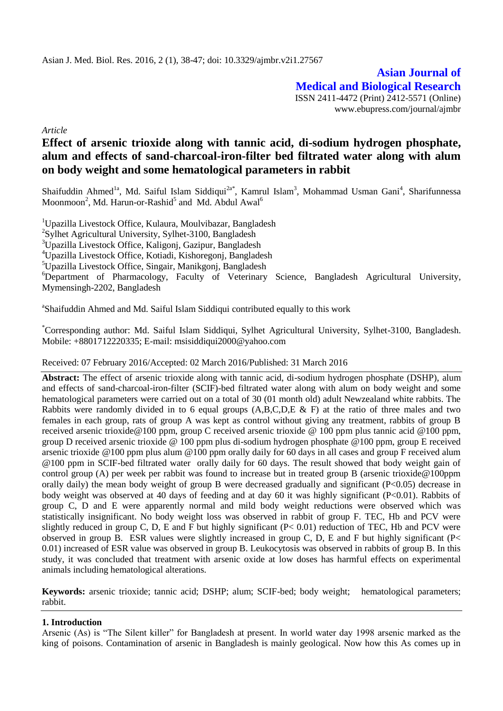**Asian Journal of Medical and Biological Research** ISSN 2411-4472 (Print) 2412-5571 (Online) www.ebupress.com/journal/ajmbr

*Article*

# **Effect of arsenic trioxide along with tannic acid, di-sodium hydrogen phosphate, alum and effects of sand-charcoal-iron-filter bed filtrated water along with alum on body weight and some hematological parameters in rabbit**

Shaifuddin Ahmed<sup>1a</sup>, Md. Saiful Islam Siddiqui<sup>2a\*</sup>, Kamrul Islam<sup>3</sup>, Mohammad Usman Gani<sup>4</sup>, Sharifunnessa Moonmoon<sup>2</sup>, Md. Harun-or-Rashid<sup>5</sup> and Md. Abdul Awal<sup>6</sup>

<sup>1</sup>Upazilla Livestock Office, Kulaura, Moulvibazar, Bangladesh <sup>2</sup>Sylhet Agricultural University, Sylhet-3100, Bangladesh <sup>3</sup>Upazilla Livestock Office, Kaligonj, Gazipur, Bangladesh <sup>4</sup>Upazilla Livestock Office, Kotiadi, Kishoregonj, Bangladesh  ${}^{5}$ Upazilla Livestock Office, Singair, Manikgonj, Bangladesh <sup>6</sup>Department of Pharmacology, Faculty of Veterinary Science, Bangladesh Agricultural University, Mymensingh-2202, Bangladesh

<sup>a</sup>Shaifuddin Ahmed and Md. Saiful Islam Siddiqui contributed equally to this work

\*Corresponding author: Md. Saiful Islam Siddiqui, Sylhet Agricultural University, Sylhet-3100, Bangladesh. Mobile: +8801712220335; E-mail: [msisiddiqui2000@yahoo.com](mailto:msisiddiqui2000@yahoo.com)

Received: 07 February 2016/Accepted: 02 March 2016/Published: 31 March 2016

**Abstract:** The effect of arsenic trioxide along with tannic acid, di-sodium hydrogen phosphate (DSHP), alum and effects of sand-charcoal-iron-filter (SCIF)-bed filtrated water along with alum on body weight and some hematological parameters were carried out on a total of 30 (01 month old) adult Newzealand white rabbits. The Rabbits were randomly divided in to 6 equal groups  $(A, B, C, D, E \& F)$  at the ratio of three males and two females in each group, rats of group A was kept as control without giving any treatment, rabbits of group B received arsenic trioxide@100 ppm, group C received arsenic trioxide @ 100 ppm plus tannic acid @100 ppm, group D received arsenic trioxide @ 100 ppm plus di-sodium hydrogen phosphate @100 ppm, group E received arsenic trioxide @100 ppm plus alum @100 ppm orally daily for 60 days in all cases and group F received alum @100 ppm in SCIF-bed filtrated water orally daily for 60 days. The result showed that body weight gain of control group (A) per week per rabbit was found to increase but in treated group B (arsenic trioxide @100ppm orally daily) the mean body weight of group B were decreased gradually and significant (P<0.05) decrease in body weight was observed at 40 days of feeding and at day 60 it was highly significant (P<0.01). Rabbits of group C, D and E were apparently normal and mild body weight reductions were observed which was statistically insignificant. No body weight loss was observed in rabbit of group F. TEC, Hb and PCV were slightly reduced in group C, D, E and F but highly significant  $(P< 0.01)$  reduction of TEC, Hb and PCV were observed in group B. ESR values were slightly increased in group C, D, E and F but highly significant ( $P<$ 0.01) increased of ESR value was observed in group B. Leukocytosis was observed in rabbits of group B. In this study, it was concluded that treatment with arsenic oxide at low doses has harmful effects on experimental animals including hematological alterations.

**Keywords:** arsenic trioxide; tannic acid; DSHP; alum; SCIF-bed; body weight; hematological parameters; rabbit.

## **1. Introduction**

Arsenic (As) is "The Silent killer" for Bangladesh at present. In world water day 1998 arsenic marked as the king of poisons. Contamination of arsenic in Bangladesh is mainly geological. Now how this As comes up in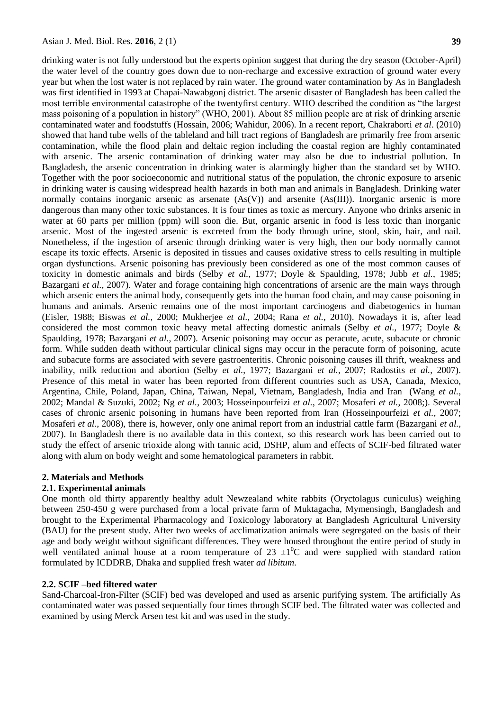drinking water is not fully understood but the experts opinion suggest that during the dry season (October-April) the water level of the country goes down due to non-recharge and excessive extraction of ground water every year but when the lost water is not replaced by rain water. The ground water contamination by As in Bangladesh was first identified in 1993 at Chapai-Nawabgonj district. The arsenic disaster of Bangladesh has been called the most terrible environmental catastrophe of the twentyfirst century. WHO described the condition as "the largest mass poisoning of a population in history" (WHO, 2001). About 85 million people are at risk of drinking arsenic contaminated water and foodstuffs (Hossain, 2006; Wahidur, 2006). In a recent report, Chakraborti *et al*. (2010) showed that hand tube wells of the tableland and hill tract regions of Bangladesh are primarily free from arsenic contamination, while the flood plain and deltaic region including the coastal region are highly contaminated with arsenic. The arsenic contamination of drinking water may also be due to industrial pollution. In Bangladesh, the arsenic concentration in drinking water is alarmingly higher than the standard set by WHO. Together with the poor socioeconomic and nutritional status of the population, the chronic exposure to arsenic in drinking water is causing widespread health hazards in both man and animals in Bangladesh. Drinking water normally contains inorganic arsenic as arsenate (As(V)) and arsenite (As(III)). Inorganic arsenic is more dangerous than many other toxic substances. It is four times as toxic as mercury. Anyone who drinks arsenic in water at 60 parts per million (ppm) will soon die. But, organic arsenic in food is less toxic than inorganic arsenic. Most of the ingested arsenic is excreted from the body through urine, stool, skin, hair, and nail. Nonetheless, if the ingestion of arsenic through drinking water is very high, then our body normally cannot escape its toxic effects. Arsenic is deposited in tissues and causes oxidative stress to cells resulting in multiple organ dysfunctions. Arsenic poisoning has previously been considered as one of the most common causes of toxicity in domestic animals and birds (Selby *et al.*, 1977; Doyle & Spaulding, 1978; Jubb *et al.*, 1985; Bazargani *et al.*, 2007). Water and forage containing high concentrations of arsenic are the main ways through which arsenic enters the animal body, consequently gets into the human food chain, and may cause poisoning in humans and animals. Arsenic remains one of the most important carcinogens and diabetogenics in human (Eisler, 1988; Biswas *et al.*, 2000; Mukherjee *et al.*, 2004; Rana *et al.*, 2010). Nowadays it is, after lead considered the most common toxic heavy metal affecting domestic animals (Selby *et al.*, 1977; Doyle & Spaulding, 1978; Bazargani *et al.*, 2007). Arsenic poisoning may occur as peracute, acute, subacute or chronic form. While sudden death without particular clinical signs may occur in the peracute form of poisoning, acute and subacute forms are associated with severe gastroenteritis. Chronic poisoning causes ill thrift, weakness and inability, milk reduction and abortion (Selby *et al.*, 1977; Bazargani *et al.*, 2007; Radostits *et al.*, 2007). Presence of this metal in water has been reported from different countries such as USA, Canada, Mexico, Argentina, Chile, Poland, Japan, China, Taiwan, Nepal, Vietnam, Bangladesh, India and Iran (Wang *et al.*, 2002; Mandal & Suzuki, 2002; Ng *et al.*, 2003; Hosseinpourfeizi *et al.*, 2007; Mosaferi *et al.*, 2008;). Several cases of chronic arsenic poisoning in humans have been reported from Iran (Hosseinpourfeizi *et al.*, 2007; Mosaferi *et al.*, 2008), there is, however, only one animal report from an industrial cattle farm (Bazargani *et al.*, 2007). In Bangladesh there is no available data in this context, so this research work has been carried out to study the effect of arsenic trioxide along with tannic acid, DSHP, alum and effects of SCIF-bed filtrated water along with alum on body weight and some hematological parameters in rabbit.

### **2. Materials and Methods**

### **2.1. Experimental animals**

One month old thirty apparently healthy adult Newzealand white rabbits (Oryctolagus cuniculus) weighing between 250-450 g were purchased from a local private farm of Muktagacha, Mymensingh, Bangladesh and brought to the Experimental Pharmacology and Toxicology laboratory at Bangladesh Agricultural University (BAU) for the present study. After two weeks of acclimatization animals were segregated on the basis of their age and body weight without significant differences. They were housed throughout the entire period of study in well ventilated animal house at a room temperature of 23  $\pm 10^{\circ}$  and were supplied with standard ration formulated by ICDDRB, Dhaka and supplied fresh water *ad libitum*.

#### **2.2. SCIF –bed filtered water**

Sand-Charcoal-Iron-Filter (SCIF) bed was developed and used as arsenic purifying system. The artificially As contaminated water was passed sequentially four times through SCIF bed. The filtrated water was collected and examined by using Merck Arsen test kit and was used in the study.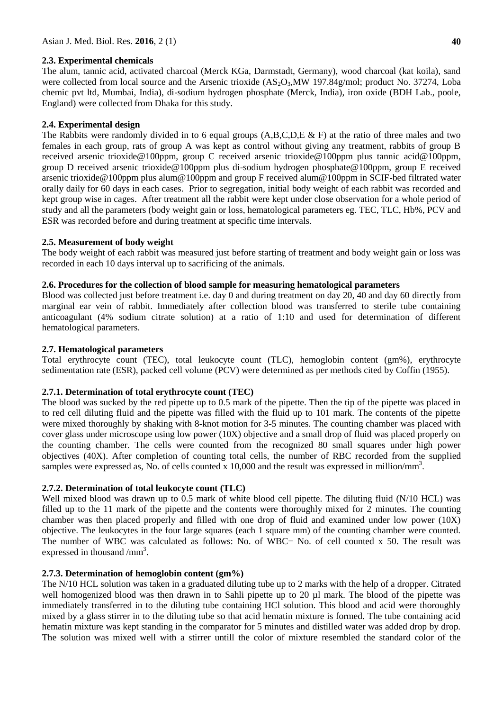# **2.3. Experimental chemicals**

The alum, tannic acid, activated charcoal (Merck KGa, Darmstadt, Germany), wood charcoal (kat koila), sand were collected from local source and the Arsenic trioxide  $(AS_2O_3)$ . MW 197.84g/mol; product No. 37274, Loba chemic pvt ltd, Mumbai, India), di-sodium hydrogen phosphate (Merck, India), iron oxide (BDH Lab., poole, England) were collected from Dhaka for this study.

# **2.4. Experimental design**

The Rabbits were randomly divided in to 6 equal groups (A,B,C,D,E & F) at the ratio of three males and two females in each group, rats of group A was kept as control without giving any treatment, rabbits of group B received arsenic trioxide@100ppm, group C received arsenic trioxide@100ppm plus tannic acid@100ppm, group D received arsenic trioxide@100ppm plus di-sodium hydrogen phosphate@100ppm, group E received arsenic trioxide@100ppm plus alum@100ppm and group F received alum@100ppm in SCIF-bed filtrated water orally daily for 60 days in each cases. Prior to segregation, initial body weight of each rabbit was recorded and kept group wise in cages. After treatment all the rabbit were kept under close observation for a whole period of study and all the parameters (body weight gain or loss, hematological parameters eg. TEC, TLC, Hb%, PCV and ESR was recorded before and during treatment at specific time intervals.

# **2.5. Measurement of body weight**

The body weight of each rabbit was measured just before starting of treatment and body weight gain or loss was recorded in each 10 days interval up to sacrificing of the animals.

# **2.6. Procedures for the collection of blood sample for measuring hematological parameters**

Blood was collected just before treatment i.e. day 0 and during treatment on day 20, 40 and day 60 directly from marginal ear vein of rabbit. Immediately after collection blood was transferred to sterile tube containing anticoagulant (4% sodium citrate solution) at a ratio of 1:10 and used for determination of different hematological parameters.

# **2.7. Hematological parameters**

Total erythrocyte count (TEC), total leukocyte count (TLC), hemoglobin content (gm%), erythrocyte sedimentation rate (ESR), packed cell volume (PCV) were determined as per methods cited by Coffin (1955).

## **2.7.1. Determination of total erythrocyte count (TEC)**

The blood was sucked by the red pipette up to 0.5 mark of the pipette. Then the tip of the pipette was placed in to red cell diluting fluid and the pipette was filled with the fluid up to 101 mark. The contents of the pipette were mixed thoroughly by shaking with 8-knot motion for 3-5 minutes. The counting chamber was placed with cover glass under microscope using low power (10X) objective and a small drop of fluid was placed properly on the counting chamber. The cells were counted from the recognized 80 small squares under high power objectives (40X). After completion of counting total cells, the number of RBC recorded from the supplied samples were expressed as, No. of cells counted x 10,000 and the result was expressed in million/mm<sup>3</sup>.

# **2.7.2. Determination of total leukocyte count (TLC)**

Well mixed blood was drawn up to 0.5 mark of white blood cell pipette. The diluting fluid (N/10 HCL) was filled up to the 11 mark of the pipette and the contents were thoroughly mixed for 2 minutes. The counting chamber was then placed properly and filled with one drop of fluid and examined under low power (10X) objective. The leukocytes in the four large squares (each 1 square mm) of the counting chamber were counted. The number of WBC was calculated as follows: No. of WBC= No. of cell counted x 50. The result was expressed in thousand  $/mm<sup>3</sup>$ .

## **2.7.3. Determination of hemoglobin content (gm%)**

The N/10 HCL solution was taken in a graduated diluting tube up to 2 marks with the help of a dropper. Citrated well homogenized blood was then drawn in to Sahli pipette up to 20 µl mark. The blood of the pipette was immediately transferred in to the diluting tube containing HCl solution. This blood and acid were thoroughly mixed by a glass stirrer in to the diluting tube so that acid hematin mixture is formed. The tube containing acid hematin mixture was kept standing in the comparator for 5 minutes and distilled water was added drop by drop. The solution was mixed well with a stirrer untill the color of mixture resembled the standard color of the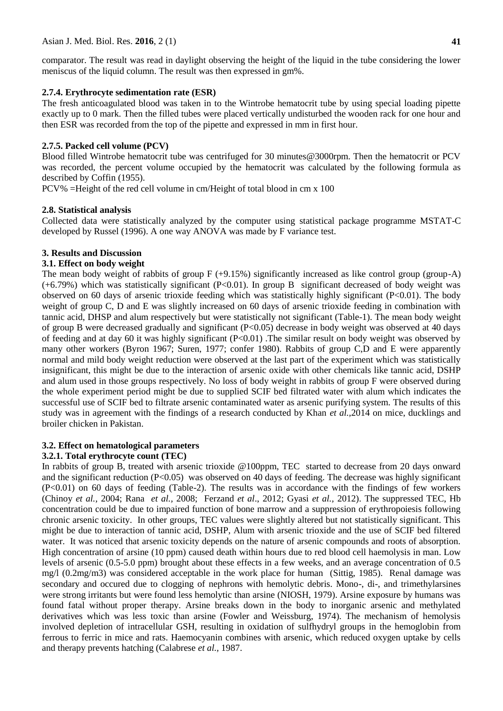comparator. The result was read in daylight observing the height of the liquid in the tube considering the lower meniscus of the liquid column. The result was then expressed in gm%.

## **2.7.4. Erythrocyte sedimentation rate (ESR)**

The fresh anticoagulated blood was taken in to the Wintrobe hematocrit tube by using special loading pipette exactly up to 0 mark. Then the filled tubes were placed vertically undisturbed the wooden rack for one hour and then ESR was recorded from the top of the pipette and expressed in mm in first hour.

# **2.7.5. Packed cell volume (PCV)**

Blood filled Wintrobe hematocrit tube was centrifuged for 30 minutes@3000rpm. Then the hematocrit or PCV was recorded, the percent volume occupied by the hematocrit was calculated by the following formula as described by Coffin (1955).

PCV% =Height of the red cell volume in cm/Height of total blood in cm x 100

## **2.8. Statistical analysis**

Collected data were statistically analyzed by the computer using statistical package programme MSTAT-C developed by Russel (1996). A one way ANOVA was made by F variance test.

# **3. Results and Discussion**

# **3.1. Effect on body weight**

The mean body weight of rabbits of group  $F (+9.15%)$  significantly increased as like control group (group-A) (+6.79%) which was statistically significant (P<0.01). In group B significant decreased of body weight was observed on 60 days of arsenic trioxide feeding which was statistically highly significant (P<0.01). The body weight of group C, D and E was slightly increased on 60 days of arsenic trioxide feeding in combination with tannic acid, DHSP and alum respectively but were statistically not significant (Table-1). The mean body weight of group B were decreased gradually and significant (P<0.05) decrease in body weight was observed at 40 days of feeding and at day 60 it was highly significant (P<0.01) .The similar result on body weight was observed by many other workers (Byron 1967; Suren, 1977; confer 1980). Rabbits of group C,D and E were apparently normal and mild body weight reduction were observed at the last part of the experiment which was statistically insignificant, this might be due to the interaction of arsenic oxide with other chemicals like tannic acid, DSHP and alum used in those groups respectively. No loss of body weight in rabbits of group F were observed during the whole experiment period might be due to supplied SCIF bed filtrated water with alum which indicates the successful use of SCIF bed to filtrate arsenic contaminated water as arsenic purifying system. The results of this study was in agreement with the findings of a research conducted by Khan *et al.,*2014 on mice, ducklings and broiler chicken in Pakistan.

# **3.2. Effect on hematological parameters**

## **3.2.1. Total erythrocyte count (TEC)**

In rabbits of group B, treated with arsenic trioxide @100ppm, TEC started to decrease from 20 days onward and the significant reduction (P<0.05) was observed on 40 days of feeding. The decrease was highly significant (P<0.01) on 60 days of feeding (Table-2). The results was in accordance with the findings of few workers (Chinoy *et al.,* 2004; Rana *et al.,* 2008; Ferzand *et al*., 2012; Gyasi *et al.,* 2012). The suppressed TEC, Hb concentration could be due to impaired function of bone marrow and a suppression of erythropoiesis following chronic arsenic toxicity. In other groups, TEC values were slightly altered but not statistically significant. This might be due to interaction of tannic acid, DSHP, Alum with arsenic trioxide and the use of SCIF bed filtered water. It was noticed that arsenic toxicity depends on the nature of arsenic compounds and roots of absorption. High concentration of arsine (10 ppm) caused death within hours due to red blood cell haemolysis in man. Low levels of arsenic (0.5-5.0 ppm) brought about these effects in a few weeks, and an average concentration of 0.5 mg/l (0.2mg/m3) was considered acceptable in the work place for human (Sittig, 1985). Renal damage was secondary and occured due to clogging of nephrons with hemolytic debris. Mono-, di-, and trimethylarsines were strong irritants but were found less hemolytic than arsine (NIOSH, 1979). Arsine exposure by humans was found fatal without proper therapy. Arsine breaks down in the body to inorganic arsenic and methylated derivatives which was less toxic than arsine (Fowler and Weissburg, 1974). The mechanism of hemolysis involved depletion of intracellular GSH, resulting in oxidation of sulfhydryl groups in the hemoglobin from ferrous to ferric in mice and rats. Haemocyanin combines with arsenic, which reduced oxygen uptake by cells and therapy prevents hatching (Calabrese *et al.,* 1987.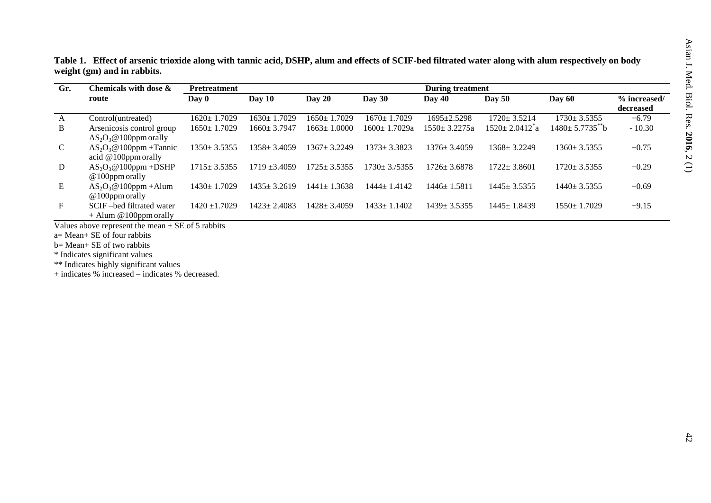| Table 1. Effect of arsenic trioxide along with tannic acid, DSHP, alum and effects of SCIF-bed filtrated water along with alum respectively on body |
|-----------------------------------------------------------------------------------------------------------------------------------------------------|
| weight (gm) and in rabbits.                                                                                                                         |

| Gr.          | Chemicals with dose $\boldsymbol{\&}$ | <b>Pretreatment</b> |                   |                        |                    | <b>During treatment</b> |                                  |                     |              |  |
|--------------|---------------------------------------|---------------------|-------------------|------------------------|--------------------|-------------------------|----------------------------------|---------------------|--------------|--|
|              | route                                 | Day 0               | Day 10            | Day $20$               | Day $30$           | <b>Day 40</b>           | <b>Day 50</b>                    | Day $60$            | % increased/ |  |
|              |                                       |                     |                   |                        |                    |                         |                                  |                     | decreased    |  |
| $\mathbf{A}$ | Control(untreated)                    | $1620 \pm 1.7029$   | $1630 \pm 1.7029$ | $1650 \pm 1.7029$      | $1670 \pm 1.7029$  | $1695 \pm 2.5298$       | $1720 \pm 3.5214$                | $1730 \pm 3.5355$   | $+6.79$      |  |
| B            | Arsenicosis control group             | $1650 \pm 1.7029$   | $1660 \pm 3.7947$ | 1.0000<br>1663+1       | 1600± 1.7029a      | $1550 \pm 3.2275a$      | $1520 \pm 2.0412$ <sup>2</sup> a | $1480 \pm 5.7735$ b | $-10.30$     |  |
|              | $AS_2O_3@100$ ppm orally              |                     |                   |                        |                    |                         |                                  |                     |              |  |
| $\mathbf{C}$ | $AS_2O_3@100$ ppm +Tannic             | $1350 \pm 3.5355$   | $1358 \pm 3.4059$ | $1367 + 3.2249$        | $1373 \pm 3.3823$  | $1376 \pm 3.4059$       | $1368 \pm 3.2249$                | $1360 \pm 3.5355$   | $+0.75$      |  |
|              | acid $@100$ ppm orally                |                     |                   |                        |                    |                         |                                  |                     |              |  |
| D            | $AS_2O_3@100$ ppm +DSHP               | $1715 \pm 3.5355$   | $1719 \pm 3.4059$ | $1725 \pm 3.5355$      | $1730 \pm 3.75355$ | $1726 \pm 3.6878$       | $1722 + 3.8601$                  | $1720 \pm 3.5355$   | $+0.29$      |  |
|              | $@100$ ppm orally                     |                     |                   |                        |                    |                         |                                  |                     |              |  |
| Ε            | $AS_2O_3@100$ ppm + Alum              | $1430 \pm 1.7029$   | $1435 \pm 3.2619$ | $1441 \pm 1$<br>1.3638 | $1444 + 1.4142$    | $1446 \pm 1.5811$       | $1445 \pm 3.5355$                | $1440 \pm 3.5355$   | $+0.69$      |  |
|              | $@100$ ppm orally                     |                     |                   |                        |                    |                         |                                  |                     |              |  |
| $F_{\rm}$    | SCIF-bed filtrated water              | $1420 \pm 1.7029$   | $1423 \pm 2.4083$ | $1428 \pm 3.4059$      | $1433 \pm 1.1402$  | $1439 \pm 3.5355$       | $1445 \pm 1.8439$                | $1550 \pm 1.7029$   | $+9.15$      |  |
|              | $+$ Alum @100ppm orally               |                     |                   |                        |                    |                         |                                  |                     |              |  |

Values above represent the mean  $\pm$  SE of 5 rabbits

a= Mean+ SE of four rabbits

b= Mean+ SE of two rabbits

\* Indicates significant values

\*\* Indicates highly significant values

+ indicates % increased – indicates % decreased.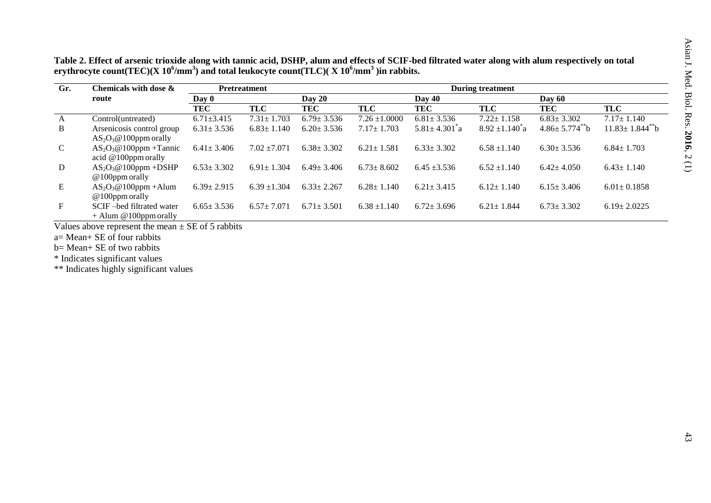| Table 2. Effect of arsenic trioxide along with tannic acid, DSHP, alum and effects of SCIF-bed filtrated water along with alum respectively on total |
|------------------------------------------------------------------------------------------------------------------------------------------------------|
| erythrocyte count(TEC)(X $10^6/\text{mm}^3$ ) and total leukocyte count(TLC)(X $10^6/\text{mm}^3$ ) in rabbits.                                      |

| Gr.          | Chemicals with dose $\&$                              | <b>Pretreatment</b> |                  | <b>During treatment</b> |                   |                                 |                            |                      |                                   |  |  |
|--------------|-------------------------------------------------------|---------------------|------------------|-------------------------|-------------------|---------------------------------|----------------------------|----------------------|-----------------------------------|--|--|
|              | route                                                 | Day 0               |                  | Day 20                  |                   | Day 60                          |                            |                      |                                   |  |  |
|              |                                                       | <b>TEC</b>          | TLC              | TEC                     | <b>TLC</b>        | TEC                             | TLC                        | TEC                  | <b>TLC</b>                        |  |  |
| $\mathbf{A}$ | Control(untreated)                                    | $6.71 \pm 3.415$    | $7.31 \pm 1.703$ | $6.79 \pm 3.536$        | $7.26 \pm 1.0000$ | $6.81 \pm 3.536$                | $7.22 \pm 1.158$           | $6.83 \pm 3.302$     | $7.17 \pm 1.140$                  |  |  |
| B            | Arsenicosis control group<br>$AS_2O_3@100$ ppm orally | $6.31 \pm 3.536$    | $6.83 \pm 1.140$ | $6.20 \pm 3.536$        | $7.17 \pm 1.703$  | $5.81 \pm 4.301$ <sup>2</sup> a | $8.92 \pm 1.140^{\circ}$ a | $4.86 \pm 5.774$ $b$ | $11.83 \pm 1.844$ <sup>**</sup> b |  |  |
| $\mathbf C$  | $AS_2O_3@100$ ppm + Tannic<br>acid $@100$ ppm orally  | $6.41 \pm 3.406$    | $7.02 \pm 7.071$ | $6.38 \pm 3.302$        | $6.21 \pm 1.581$  | $6.33 \pm 3.302$                | $6.58 \pm 1.140$           | $6.30 \pm 3.536$     | $6.84 \pm 1.703$                  |  |  |
| D            | $AS_2O_3@100$ ppm +DSHP<br>$@100$ ppm orally          | $6.53 \pm 3.302$    | $6.91 \pm 1.304$ | $6.49 \pm 3.406$        | $6.73 \pm 8.602$  | $6.45 \pm 3.536$                | $6.52 \pm 1.140$           | $6.42 \pm 4.050$     | $6.43 \pm 1.140$                  |  |  |
| E            | $AS_2O_3@100$ ppm + Alum<br>$@100$ ppm orally         | $6.39 \pm 2.915$    | $6.39 \pm 1.304$ | $6.33 \pm 2.267$        | $6.28 \pm 1.140$  | $6.21 \pm 3.415$                | $6.12 \pm 1.140$           | $6.15 \pm 3.406$     | $6.01 \pm 0.1858$                 |  |  |
| $F_{\rm}$    | SCIF-bed filtrated water<br>$+$ Alum @100ppm orally   | $6.65 \pm 3.536$    | $6.57 + 7.071$   | $6.71 \pm 3.501$        | $6.38 \pm 1.140$  | $6.72 \pm 3.696$                | $6.21 \pm 1.844$           | $6.73 \pm 3.302$     | $6.19 \pm 2.0225$                 |  |  |

Values above represent the mean  $\pm$  SE of 5 rabbits

a= Mean+ SE of four rabbits

b= Mean+ SE of two rabbits

\* Indicates significant values

\*\* Indicates highly significant values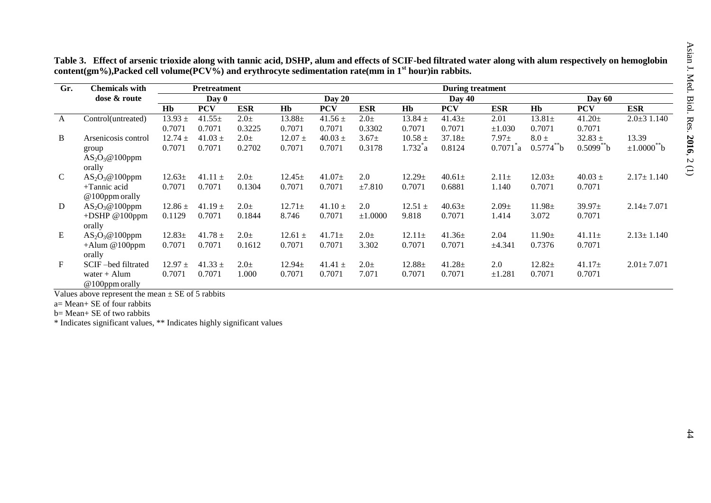| Gr.          | <b>Chemicals with</b> |             | <b>Pretreatment</b> |            | <b>During treatment</b> |             |            |              |             |               |                |                |                              |
|--------------|-----------------------|-------------|---------------------|------------|-------------------------|-------------|------------|--------------|-------------|---------------|----------------|----------------|------------------------------|
|              | dose & route          | Day 0       |                     |            | Day $20$                |             |            | Day 40       |             |               | Day $60$       |                |                              |
|              |                       | Hb          | <b>PCV</b>          | <b>ESR</b> | <b>H<sub>b</sub></b>    | <b>PCV</b>  | <b>ESR</b> | Hb           | <b>PCV</b>  | ESR           | Hb             | <b>PCV</b>     | <b>ESR</b>                   |
| $\mathbf{A}$ | Control(untreated)    | $13.93 \pm$ | $41.55\pm$          | $2.0 \pm$  | $13.88\pm$              | $41.56 \pm$ | $2.0\pm$   | $13.84 \pm$  | $41.43 \pm$ | 2.01          | $13.81\pm$     | $41.20 \pm$    | $2.0 \pm 31.140$             |
|              |                       | 0.7071      | 0.7071              | 0.3225     | 0.7071                  | 0.7071      | 0.3302     | 0.7071       | 0.7071      | $\pm 1.030$   | 0.7071         | 0.7071         |                              |
| B            | Arsenicosis control   | $12.74 \pm$ | $41.03 \pm$         | $2.0\pm$   | $12.07 \pm$             | $40.03 \pm$ | $3.67 \pm$ | $10.58 \pm$  | $37.18 \pm$ | $7.97 \pm$    | $8.0 \pm$      | $32.83 \pm$    | 13.39                        |
|              | group                 | 0.7071      | 0.7071              | 0.2702     | 0.7071                  | 0.7071      | 0.3178     | $1.732^{*}a$ | 0.8124      | $0.7071^{*}a$ | $0.5774^{**}b$ | $0.5099^{**}b$ | $\pm 1.0000$ <sup>**</sup> b |
|              | $AS_2O_3@100$ ppm     |             |                     |            |                         |             |            |              |             |               |                |                |                              |
|              | orally                |             |                     |            |                         |             |            |              |             |               |                |                |                              |
| $\mathbf C$  | $AS_2O_3@100$ ppm     | $12.63 \pm$ | $41.11 \pm$         | $2.0\pm$   | $12.45 \pm$             | $41.07\pm$  | 2.0        | $12.29 \pm$  | $40.61 \pm$ | $2.11 \pm$    | $12.03\pm$     | $40.03 \pm$    | $2.17 \pm 1.140$             |
|              | $+T$ annic acid       | 0.7071      | 0.7071              | 0.1304     | 0.7071                  | 0.7071      | ±7.810     | 0.7071       | 0.6881      | 1.140         | 0.7071         | 0.7071         |                              |
|              | $@100$ ppm orally     |             |                     |            |                         |             |            |              |             |               |                |                |                              |
| D            | $AS_2O_3@100$ ppm     | $12.86 \pm$ | $41.19 \pm$         | $2.0\pm$   | $12.71 \pm$             | $41.10 \pm$ | 2.0        | $12.51 \pm$  | $40.63\pm$  | $2.09\pm$     | $11.98 \pm$    | $39.97 \pm$    | $2.14 \pm 7.071$             |
|              | + $DSHP$ @100ppm      | 0.1129      | 0.7071              | 0.1844     | 8.746                   | 0.7071      | ±1.0000    | 9.818        | 0.7071      | 1.414         | 3.072          | 0.7071         |                              |
|              | orally                |             |                     |            |                         |             |            |              |             |               |                |                |                              |
| E            | $AS_2O_3@100$ ppm     | $12.83\pm$  | $41.78 \pm$         | $2.0\pm$   | $12.61 \pm$             | $41.71 \pm$ | $2.0+$     | $12.11 \pm$  | $41.36\pm$  | 2.04          | $11.90 \pm$    | $41.11 \pm$    | $2.13 \pm 1.140$             |
|              | $+$ Alum @100ppm      | 0.7071      | 0.7071              | 0.1612     | 0.7071                  | 0.7071      | 3.302      | 0.7071       | 0.7071      | ±4.341        | 0.7376         | 0.7071         |                              |
|              | orally                |             |                     |            |                         |             |            |              |             |               |                |                |                              |
| $\mathbf{F}$ | SCIF-bed filtrated    | $12.97 \pm$ | $41.33 \pm$         | $2.0\pm$   | $12.94 \pm$             | 41.41 $\pm$ | $2.0\pm$   | $12.88 \pm$  | $41.28 \pm$ | 2.0           | $12.82+$       | $41.17 \pm$    | $2.01 \pm 7.071$             |
|              | water $+$ Alum        | 0.7071      | 0.7071              | 1.000      | 0.7071                  | 0.7071      | 7.071      | 0.7071       | 0.7071      | ±1.281        | 0.7071         | 0.7071         |                              |
|              | $@100$ ppm orally     |             |                     |            |                         |             |            |              |             |               |                |                |                              |

**Table 3. Effect of arsenic trioxide along with tannic acid, DSHP, alum and effects of SCIF-bed filtrated water along with alum respectively on hemoglobin content(gm%),Packed cell volume(PCV%) and erythrocyte sedimentation rate(mm in 1st hour)in rabbits.**

Values above represent the mean  $\pm$  SE of 5 rabbits

a= Mean+ SE of four rabbits

b= Mean+ SE of two rabbits

\* Indicates significant values, \*\* Indicates highly significant values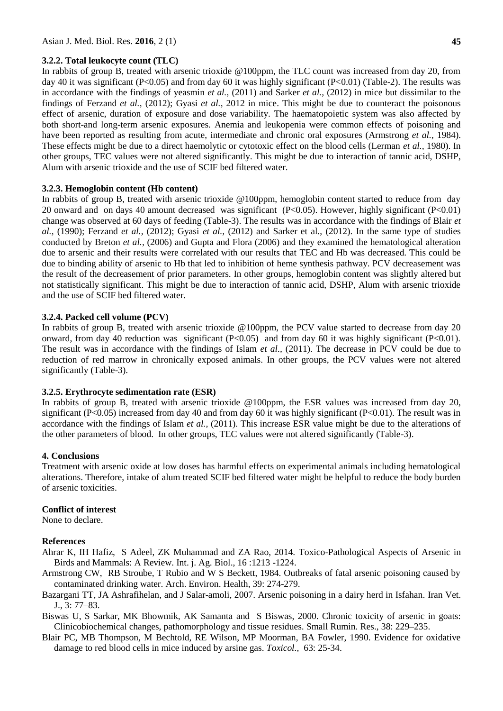#### **3.2.2. Total leukocyte count (TLC)**

In rabbits of group B, treated with arsenic trioxide @100ppm, the TLC count was increased from day 20, from day 40 it was significant (P<0.05) and from day 60 it was highly significant (P<0.01) (Table-2). The results was in accordance with the findings of yeasmin *et al.,* (2011) and Sarker *et al.,* (2012) in mice but dissimilar to the findings of Ferzand *et al.,* (2012); Gyasi *et al.,* 2012 in mice. This might be due to counteract the poisonous effect of arsenic, duration of exposure and dose variability. The haematopoietic system was also affected by both short-and long-term arsenic exposures. Anemia and leukopenia were common effects of poisoning and have been reported as resulting from acute, intermediate and chronic oral exposures (Armstrong *et al.,* 1984). These effects might be due to a direct haemolytic or cytotoxic effect on the blood cells (Lerman *et al.,* 1980). In other groups, TEC values were not altered significantly. This might be due to interaction of tannic acid, DSHP, Alum with arsenic trioxide and the use of SCIF bed filtered water.

#### **3.2.3. Hemoglobin content (Hb content)**

In rabbits of group B, treated with arsenic trioxide @100ppm, hemoglobin content started to reduce from day 20 onward and on days 40 amount decreased was significant (P<0.05). However, highly significant (P<0.01) change was observed at 60 days of feeding (Table-3). The results was in accordance with the findings of Blair *et al.,* (1990); Ferzand *et al.,* (2012); Gyasi *et al.,* (2012) and Sarker et al., (2012). In the same type of studies conducted by Breton *et al.,* (2006) and Gupta and Flora (2006) and they examined the hematological alteration due to arsenic and their results were correlated with our results that TEC and Hb was decreased. This could be due to binding ability of arsenic to Hb that led to inhibition of heme synthesis pathway. PCV decreasement was the result of the decreasement of prior parameters. In other groups, hemoglobin content was slightly altered but not statistically significant. This might be due to interaction of tannic acid, DSHP, Alum with arsenic trioxide and the use of SCIF bed filtered water.

#### **3.2.4. Packed cell volume (PCV)**

In rabbits of group B, treated with arsenic trioxide @100ppm, the PCV value started to decrease from day 20 onward, from day 40 reduction was significant  $(P<0.05)$  and from day 60 it was highly significant  $(P<0.01)$ . The result was in accordance with the findings of Islam *et al.,* (2011). The decrease in PCV could be due to reduction of red marrow in chronically exposed animals. In other groups, the PCV values were not altered significantly (Table-3).

#### **3.2.5. Erythrocyte sedimentation rate (ESR)**

In rabbits of group B, treated with arsenic trioxide @100ppm, the ESR values was increased from day 20, significant (P<0.05) increased from day 40 and from day 60 it was highly significant (P<0.01). The result was in accordance with the findings of Islam *et al.,* (2011). This increase ESR value might be due to the alterations of the other parameters of blood. In other groups, TEC values were not altered significantly (Table-3).

#### **4. Conclusions**

Treatment with arsenic oxide at low doses has harmful effects on experimental animals including hematological alterations. Therefore, intake of alum treated SCIF bed filtered water might be helpful to reduce the body burden of arsenic toxicities.

#### **Conflict of interest**

None to declare.

#### **References**

Ahrar K, IH Hafiz, S Adeel, ZK Muhammad and ZA Rao, 2014. Toxico-Pathological Aspects of Arsenic in Birds and Mammals: A Review. Int. j. Ag. Biol., 16 :1213 -1224.

- Armstrong CW, RB Stroube, T Rubio and W S Beckett, 1984. Outbreaks of fatal arsenic poisoning caused by contaminated drinking water. Arch. Environ. Health, 39: 274-279.
- Bazargani TT, JA Ashrafihelan, and J Salar-amoli, 2007. Arsenic poisoning in a dairy herd in Isfahan. Iran Vet. J., 3: 77–83.
- Biswas U, S Sarkar, MK Bhowmik, AK Samanta and S Biswas, 2000. Chronic toxicity of arsenic in goats: Clinicobiochemical changes, pathomorphology and tissue residues. Small Rumin. Res., 38: 229–235.
- Blair PC, MB Thompson, M Bechtold, RE Wilson, MP Moorman, BA Fowler, 1990. Evidence for oxidative damage to red blood cells in mice induced by arsine gas. *Toxicol.,* 63: 25-34.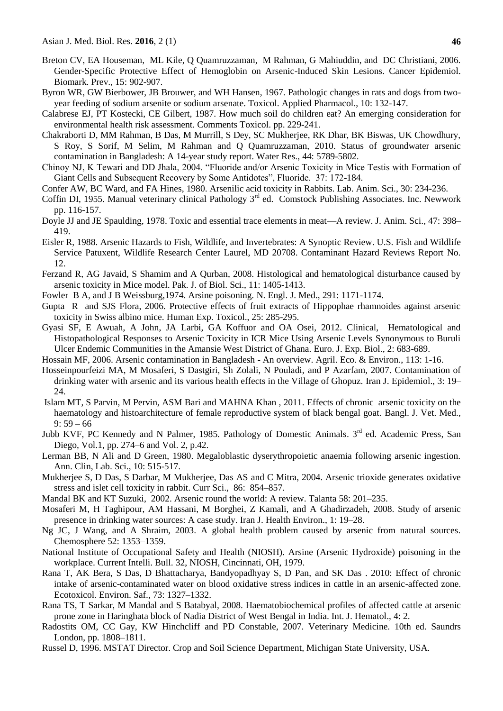- Breton CV, EA Houseman, ML Kile, Q Quamruzzaman, M Rahman, G Mahiuddin, and DC Christiani, 2006. Gender-Specific Protective Effect of Hemoglobin on Arsenic-Induced Skin Lesions. Cancer Epidemiol. Biomark. Prev., 15: 902-907.
- Byron WR, GW Bierbower, JB Brouwer, and WH Hansen, 1967. Pathologic changes in rats and dogs from twoyear feeding of sodium arsenite or sodium arsenate. Toxicol. Applied Pharmacol., 10: 132-147.
- Calabrese EJ, PT Kostecki, CE Gilbert, 1987. How much soil do children eat? An emerging consideration for environmental health risk assessment. Comments Toxicol. pp. 229-241.
- Chakraborti D, MM Rahman, B Das, M Murrill, S Dey, SC Mukherjee, RK Dhar, BK Biswas, UK Chowdhury, S Roy, S Sorif, M Selim, M Rahman and Q Quamruzzaman, 2010. Status of groundwater arsenic contamination in Bangladesh: A 14-year study report. Water Res., 44: 5789-5802.
- Chinoy NJ, K Tewari and DD Jhala, 2004. "Fluoride and/or Arsenic Toxicity in Mice Testis with Formation of Giant Cells and Subsequent Recovery by Some Antidotes", Fluoride. 37: 172-184.
- Confer AW, BC Ward, and FA Hines, 1980. Arsenilic acid toxicity in Rabbits. Lab. Anim. Sci., 30: 234-236.
- Coffin DI, 1955. Manual veterinary clinical Pathology 3<sup>rd</sup> ed. Comstock Publishing Associates. Inc. Newwork pp. 116-157.
- Doyle JJ and JE Spaulding, 1978. Toxic and essential trace elements in meat—A review. J. Anim. Sci., 47: 398– 419.
- Eisler R, 1988. Arsenic Hazards to Fish, Wildlife, and Invertebrates: A Synoptic Review. U.S. Fish and Wildlife Service Patuxent, Wildlife Research Center Laurel, MD 20708. Contaminant Hazard Reviews Report No. 12.
- Ferzand R, AG Javaid, S Shamim and A Qurban, 2008. Histological and hematological disturbance caused by arsenic toxicity in Mice model. Pak. J. of Biol. Sci., 11: 1405-1413.
- Fowler B A, and J B Weissburg,1974. Arsine poisoning. N. Engl. J. Med., 291: 1171-1174.
- Gupta R and SJS Flora, 2006. Protective effects of fruit extracts of Hippophae rhamnoides against arsenic toxicity in Swiss albino mice. Human Exp. Toxicol., 25: 285-295.
- Gyasi SF, E Awuah, A John, JA Larbi, GA Koffuor and OA Osei, 2012. Clinical, Hematological and Histopathological Responses to Arsenic Toxicity in ICR Mice Using Arsenic Levels Synonymous to Buruli Ulcer Endemic Communities in the Amansie West District of Ghana. Euro. J. Exp. Biol., 2: 683-689.
- Hossain MF, 2006. Arsenic contamination in Bangladesh An overview. Agril. Eco. & Environ., 113: 1-16.
- Hosseinpourfeizi MA, M Mosaferi, S Dastgiri, Sh Zolali, N Pouladi, and P Azarfam, 2007. Contamination of drinking water with arsenic and its various health effects in the Village of Ghopuz. Iran J. Epidemiol., 3: 19– 24.
- Islam MT, S Parvin, M Pervin, ASM Bari and MAHNA Khan , 2011. Effects of chronic arsenic toxicity on the haematology and histoarchitecture of female reproductive system of black bengal goat. Bangl. J. Vet. Med.,  $9:59-66$
- Jubb KVF, PC Kennedy and N Palmer, 1985. Pathology of Domestic Animals. 3<sup>rd</sup> ed. Academic Press, San Diego, Vol.1, pp. 274–6 and Vol. 2, p.42.
- Lerman BB, N Ali and D Green, 1980. Megaloblastic dyserythropoietic anaemia following arsenic ingestion. Ann. Clin, Lab. Sci., 10: 515-517.
- Mukherjee S, D Das, S Darbar, M Mukherjee, Das AS and C Mitra, 2004. Arsenic trioxide generates oxidative stress and islet cell toxicity in rabbit. Curr Sci., 86: 854–857.
- Mandal BK and KT Suzuki, 2002. Arsenic round the world: A review. Talanta 58: 201–235.
- Mosaferi M, H Taghipour, AM Hassani, M Borghei, Z Kamali, and A Ghadirzadeh, 2008. Study of arsenic presence in drinking water sources: A case study. Iran J. Health Environ., 1: 19–28.
- Ng JC, J Wang, and A Shraim, 2003. A global health problem caused by arsenic from natural sources. Chemosphere 52: 1353–1359.
- National Institute of Occupational Safety and Health (NIOSH). Arsine (Arsenic Hydroxide) poisoning in the workplace. Current Intelli. Bull. 32, NIOSH, Cincinnati, OH, 1979.
- Rana T, AK Bera, S Das, D Bhattacharya, Bandyopadhyay S, D Pan, and SK Das . 2010: Effect of chronic intake of arsenic-contaminated water on blood oxidative stress indices in cattle in an arsenic-affected zone. Ecotoxicol. Environ. Saf., 73: 1327–1332.
- Rana TS, T Sarkar, M Mandal and S Batabyal, 2008. Haematobiochemical profiles of affected cattle at arsenic prone zone in Haringhata block of Nadia District of West Bengal in India. Int. J. Hematol., 4: 2.
- Radostits OM, CC Gay, KW Hinchcliff and PD Constable, 2007. Veterinary Medicine*.* 10th ed. Saundrs London, pp. 1808–1811.
- Russel D, 1996. MSTAT Director. Crop and Soil Science Department, Michigan State University, USA.